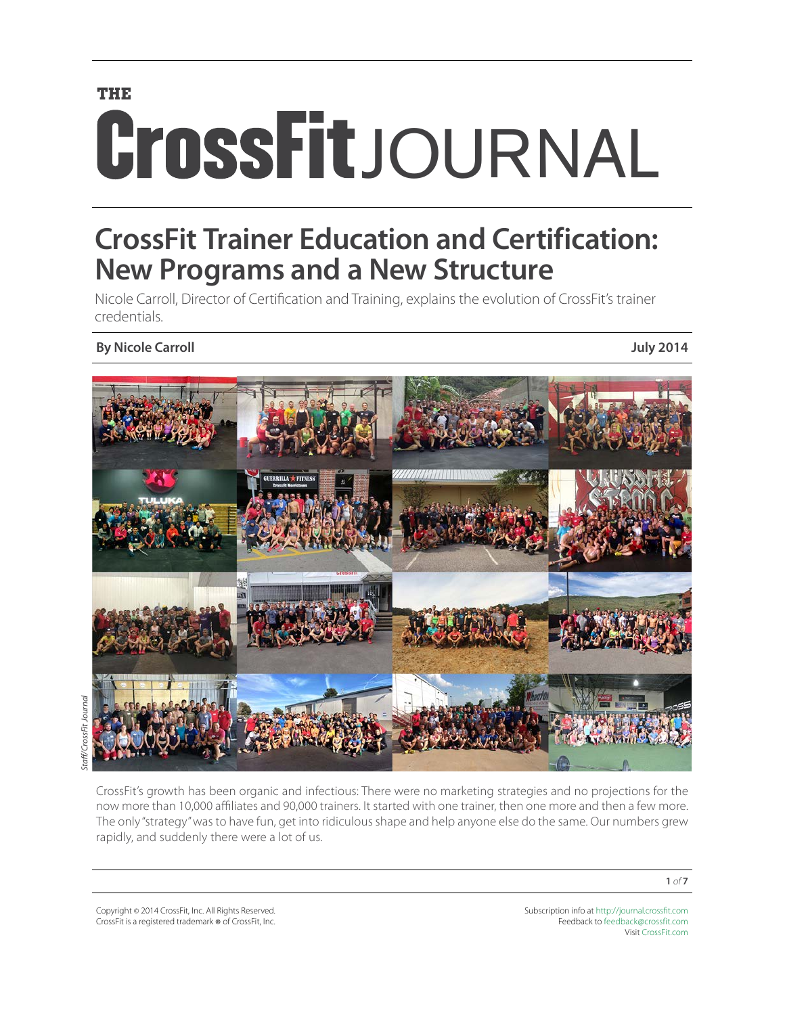# **THE CrossFit**JOURNAL

# **CrossFit Trainer Education and Certification: New Programs and a New Structure**

Nicole Carroll, Director of Certification and Training, explains the evolution of CrossFit's trainer credentials.

# **By Nicole Carroll July 2014**



CrossFit's growth has been organic and infectious: There were no marketing strategies and no projections for the now more than 10,000 affiliates and 90,000 trainers. It started with one trainer, then one more and then a few more. The only "strategy" was to have fun, get into ridiculous shape and help anyone else do the same. Our numbers grew rapidly, and suddenly there were a lot of us.

Copyright © 2014 CrossFit, Inc. All Rights Reserved. CrossFit is a registered trademark ® of CrossFit, Inc. Subscription info at <http://journal.crossfit.com> Feedback to [feedback@crossfit.com](mailto:feedback@crossfit.com) Visit [CrossFit.com](http://www.crossfit.com)

**1** *of* **7**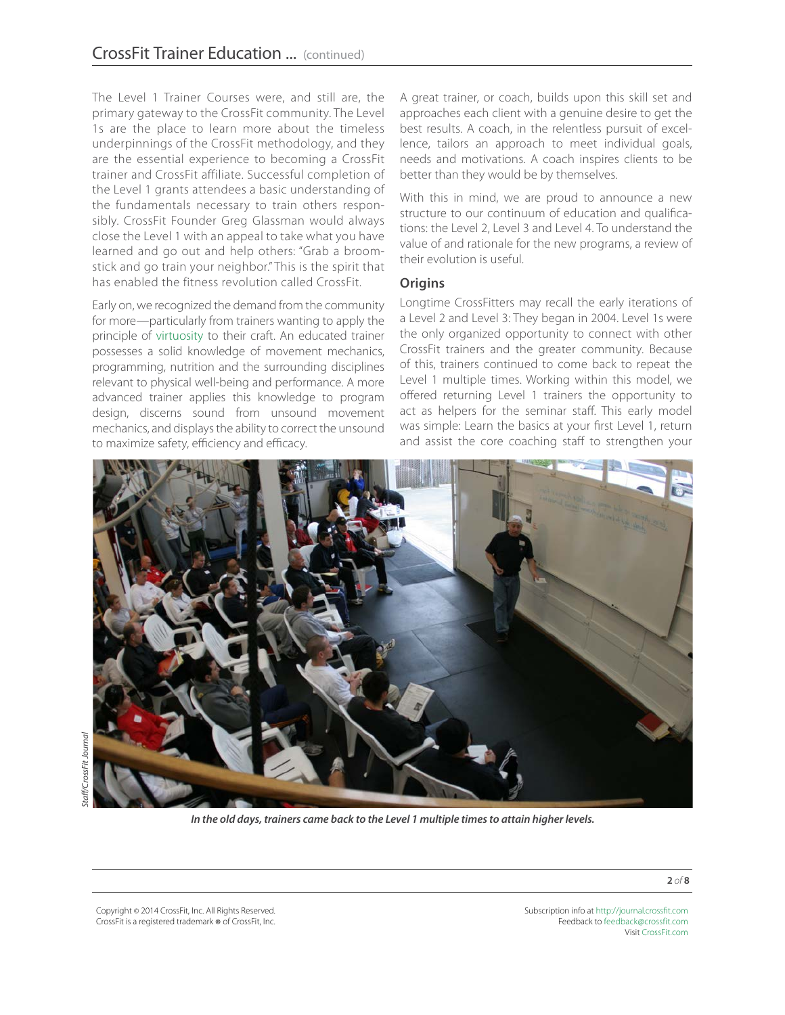The Level 1 Trainer Courses were, and still are, the primary gateway to the CrossFit community. The Level 1s are the place to learn more about the timeless underpinnings of the CrossFit methodology, and they are the essential experience to becoming a CrossFit trainer and CrossFit affiliate. Successful completion of the Level 1 grants attendees a basic understanding of the fundamentals necessary to train others responsibly. CrossFit Founder Greg Glassman would always close the Level 1 with an appeal to take what you have learned and go out and help others: "Grab a broomstick and go train your neighbor." This is the spirit that has enabled the fitness revolution called CrossFit.

Early on, we recognized the demand from the community for more—particularly from trainers wanting to apply the principle of [virtuosity](http://journal.crossfit.com/2005/08/virtuosity-1.tpl) to their craft. An educated trainer possesses a solid knowledge of movement mechanics, programming, nutrition and the surrounding disciplines relevant to physical well-being and performance. A more advanced trainer applies this knowledge to program design, discerns sound from unsound movement mechanics, and displays the ability to correct the unsound to maximize safety, efficiency and efficacy.

A great trainer, or coach, builds upon this skill set and approaches each client with a genuine desire to get the best results. A coach, in the relentless pursuit of excellence, tailors an approach to meet individual goals, needs and motivations. A coach inspires clients to be better than they would be by themselves.

With this in mind, we are proud to announce a new structure to our continuum of education and qualifications: the Level 2, Level 3 and Level 4. To understand the value of and rationale for the new programs, a review of their evolution is useful.

#### **Origins**

Longtime CrossFitters may recall the early iterations of a Level 2 and Level 3: They began in 2004. Level 1s were the only organized opportunity to connect with other CrossFit trainers and the greater community. Because of this, trainers continued to come back to repeat the Level 1 multiple times. Working within this model, we offered returning Level 1 trainers the opportunity to act as helpers for the seminar staff. This early model was simple: Learn the basics at your first Level 1, return and assist the core coaching staff to strengthen your



rossFit Journal *Staff/CrossFit Journal*

Copyright © 2014 CrossFit, Inc. All Rights Reserved. CrossFit is a registered trademark ® of CrossFit, Inc.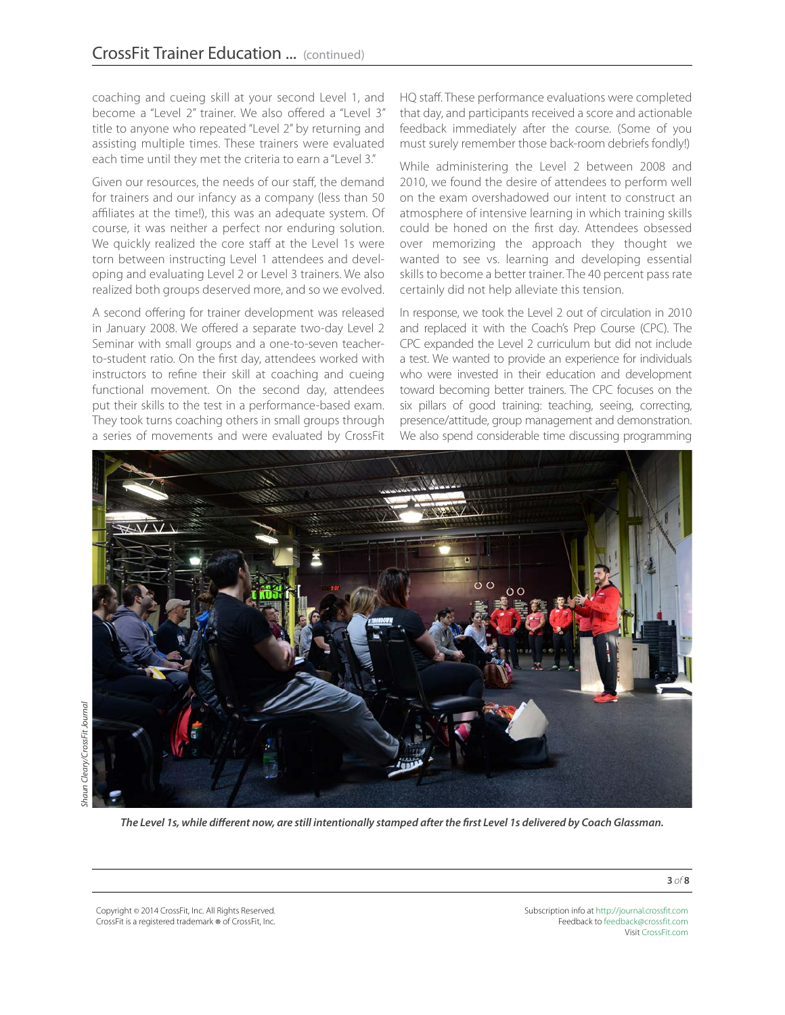coaching and cueing skill at your second Level 1, and become a "Level 2" trainer. We also offered a "Level 3" title to anyone who repeated "Level 2" by returning and assisting multiple times. These trainers were evaluated each time until they met the criteria to earn a "Level 3."

Given our resources, the needs of our staff, the demand for trainers and our infancy as a company (less than 50 affiliates at the time!), this was an adequate system. Of course, it was neither a perfect nor enduring solution. We quickly realized the core staff at the Level 1s were torn between instructing Level 1 attendees and developing and evaluating Level 2 or Level 3 trainers. We also realized both groups deserved more, and so we evolved.

A second offering for trainer development was released in January 2008. We offered a separate two-day Level 2 Seminar with small groups and a one-to-seven teacherto-student ratio. On the first day, attendees worked with instructors to refine their skill at coaching and cueing functional movement. On the second day, attendees put their skills to the test in a performance-based exam. They took turns coaching others in small groups through a series of movements and were evaluated by CrossFit HQ staff. These performance evaluations were completed that day, and participants received a score and actionable feedback immediately after the course. (Some of you must surely remember those back-room debriefs fondly!)

While administering the Level 2 between 2008 and 2010, we found the desire of attendees to perform well on the exam overshadowed our intent to construct an atmosphere of intensive learning in which training skills could be honed on the first day. Attendees obsessed over memorizing the approach they thought we wanted to see vs. learning and developing essential skills to become a better trainer. The 40 percent pass rate certainly did not help alleviate this tension.

In response, we took the Level 2 out of circulation in 2010 and replaced it with the Coach's Prep Course (CPC). The CPC expanded the Level 2 curriculum but did not include a test. We wanted to provide an experience for individuals who were invested in their education and development toward becoming better trainers. The CPC focuses on the six pillars of good training: teaching, seeing, correcting, presence/attitude, group management and demonstration. We also spend considerable time discussing programming



*The Level 1s, while different now, are still intentionally stamped after the first Level 1s delivered by Coach Glassman.*

Copyright © 2014 CrossFit, Inc. All Rights Reserved. CrossFit is a registered trademark ® of CrossFit, Inc. Subscription info at <http://journal.crossfit.com> Feedback to [feedback@crossfit.com](mailto:feedback@crossfit.com) Visit [CrossFit.com](http://www.crossfit.com)

**3** *of* **8**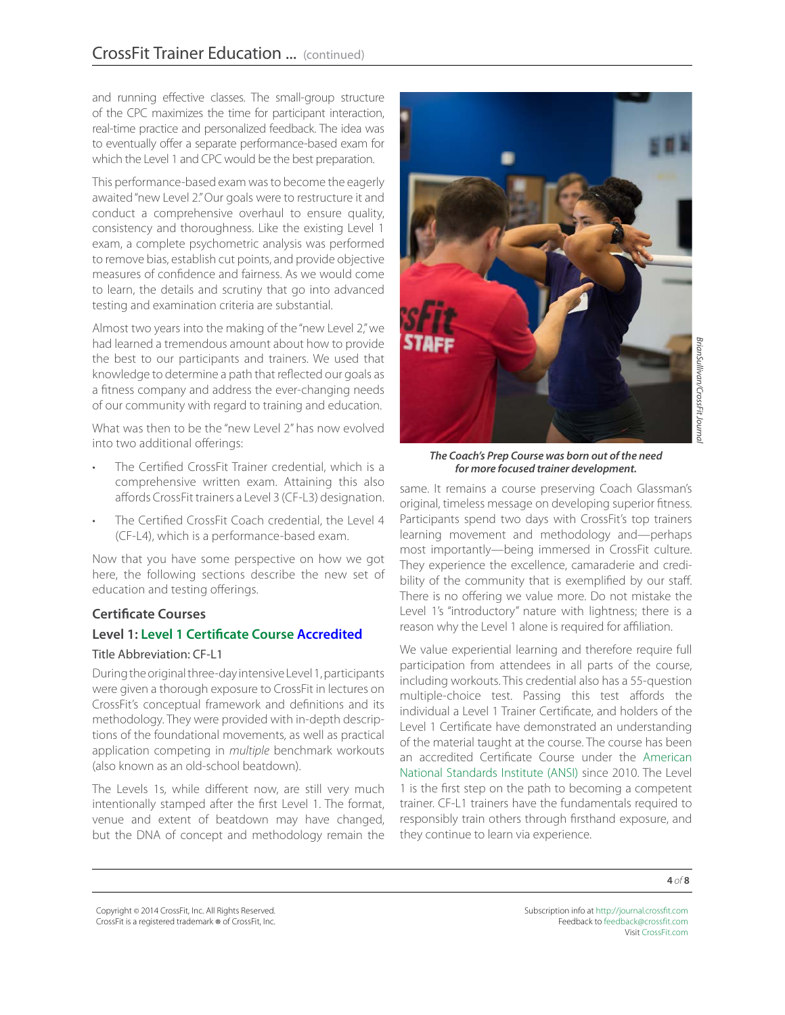and running effective classes. The small-group structure of the CPC maximizes the time for participant interaction, real-time practice and personalized feedback. The idea was to eventually offer a separate performance-based exam for which the Level 1 and CPC would be the best preparation.

This performance-based exam was to become the eagerly awaited "new Level 2." Our goals were to restructure it and conduct a comprehensive overhaul to ensure quality, consistency and thoroughness. Like the existing Level 1 exam, a complete psychometric analysis was performed to remove bias, establish cut points, and provide objective measures of confidence and fairness. As we would come to learn, the details and scrutiny that go into advanced testing and examination criteria are substantial.

Almost two years into the making of the "new Level 2," we had learned a tremendous amount about how to provide the best to our participants and trainers. We used that knowledge to determine a path that reflected our goals as a fitness company and address the ever-changing needs of our community with regard to training and education.

What was then to be the "new Level 2" has now evolved into two additional offerings:

- The Certified CrossFit Trainer credential, which is a comprehensive written exam. Attaining this also affords CrossFit trainers a Level 3 (CF-L3) designation.
- The Certified CrossFit Coach credential, the Level 4 (CF-L4), which is a performance-based exam.

Now that you have some perspective on how we got here, the following sections describe the new set of education and testing offerings.

# **Certificate Courses**

### **Level 1: [Level 1 Certificate Course](http://www.crossfit.com/cf-info/certs.shtml) [Accredited](http://www.ansi.org/news_publications/news_story.aspx?menuid=7&articleid=2759)**

#### Title Abbreviation: CF-L1

During the original three-day intensive Level 1, participants were given a thorough exposure to CrossFit in lectures on CrossFit's conceptual framework and definitions and its methodology. They were provided with in-depth descriptions of the foundational movements, as well as practical application competing in *multiple* benchmark workouts (also known as an old-school beatdown).

The Levels 1s, while different now, are still very much intentionally stamped after the first Level 1. The format, venue and extent of beatdown may have changed, but the DNA of concept and methodology remain the



*The Coach's Prep Course was born out of the need for more focused trainer development.*

same. It remains a course preserving Coach Glassman's original, timeless message on developing superior fitness. Participants spend two days with CrossFit's top trainers learning movement and methodology and—perhaps most importantly—being immersed in CrossFit culture. They experience the excellence, camaraderie and credibility of the community that is exemplified by our staff. There is no offering we value more. Do not mistake the Level 1's "introductory" nature with lightness; there is a reason why the Level 1 alone is required for affiliation.

We value experiential learning and therefore require full participation from attendees in all parts of the course, including workouts. This credential also has a 55-question multiple-choice test. Passing this test affords the individual a Level 1 Trainer Certificate, and holders of the Level 1 Certificate have demonstrated an understanding of the material taught at the course. The course has been an accredited Certificate Course under the [American](http://www.ansi.org/about_ansi/overview/overview.aspx?menuid=1)  [National Standards Institute \(ANSI\)](http://www.ansi.org/about_ansi/overview/overview.aspx?menuid=1) since 2010. The Level 1 is the first step on the path to becoming a competent trainer. CF-L1 trainers have the fundamentals required to responsibly train others through firsthand exposure, and they continue to learn via experience.

Copyright © 2014 CrossFit, Inc. All Rights Reserved. CrossFit is a registered trademark ® of CrossFit, Inc.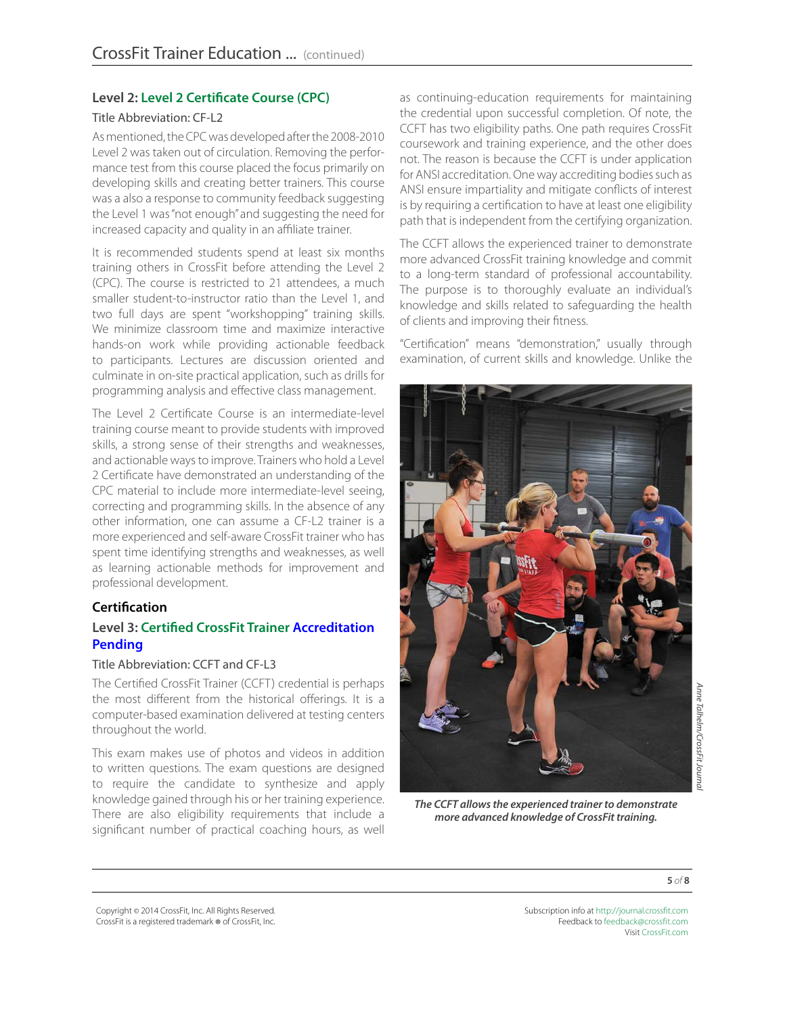## **Level 2: [Level 2 Certificate Course \(CPC\)](http://www.crossfit.com/cf-info/certs.shtml)**

#### Title Abbreviation: CF-L2

As mentioned, the CPC was developed after the 2008-2010 Level 2 was taken out of circulation. Removing the performance test from this course placed the focus primarily on developing skills and creating better trainers. This course was a also a response to community feedback suggesting the Level 1 was "not enough" and suggesting the need for increased capacity and quality in an affiliate trainer.

It is recommended students spend at least six months training others in CrossFit before attending the Level 2 (CPC). The course is restricted to 21 attendees, a much smaller student-to-instructor ratio than the Level 1, and two full days are spent "workshopping" training skills. We minimize classroom time and maximize interactive hands-on work while providing actionable feedback to participants. Lectures are discussion oriented and culminate in on-site practical application, such as drills for programming analysis and effective class management.

The Level 2 Certificate Course is an intermediate-level training course meant to provide students with improved skills, a strong sense of their strengths and weaknesses, and actionable ways to improve. Trainers who hold a Level 2 Certificate have demonstrated an understanding of the CPC material to include more intermediate-level seeing, correcting and programming skills. In the absence of any other information, one can assume a CF-L2 trainer is a more experienced and self-aware CrossFit trainer who has spent time identifying strengths and weaknesses, as well as learning actionable methods for improvement and professional development.

#### **Certification**

## **Level 3: [Certified CrossFit Trainer](https://certifications.crossfit.com/ccft/) [Accreditation](https://www.ansica.org/wwwversion2/outside/ALLdirectoryListing.asp?menuID=2&prgID=201&status=2)  [Pending](https://www.ansica.org/wwwversion2/outside/ALLdirectoryListing.asp?menuID=2&prgID=201&status=2)**

#### Title Abbreviation: CCFT and CF-L3

The Certified CrossFit Trainer (CCFT) credential is perhaps the most different from the historical offerings. It is a computer-based examination delivered at testing centers throughout the world.

This exam makes use of photos and videos in addition to written questions. The exam questions are designed to require the candidate to synthesize and apply knowledge gained through his or her training experience. There are also eligibility requirements that include a significant number of practical coaching hours, as well

as continuing-education requirements for maintaining the credential upon successful completion. Of note, the CCFT has two eligibility paths. One path requires CrossFit coursework and training experience, and the other does not. The reason is because the CCFT is under application for ANSI accreditation. One way accrediting bodies such as ANSI ensure impartiality and mitigate conflicts of interest is by requiring a certification to have at least one eligibility path that is independent from the certifying organization.

The CCFT allows the experienced trainer to demonstrate more advanced CrossFit training knowledge and commit to a long-term standard of professional accountability. The purpose is to thoroughly evaluate an individual's knowledge and skills related to safeguarding the health of clients and improving their fitness.

"Certification" means "demonstration," usually through examination, of current skills and knowledge. Unlike the



*The CCFT allows the experienced trainer to demonstrate more advanced knowledge of CrossFit training.*

*Anne Talhelm/CrossFit Journal*  Anne Talhelm/CrossFit Journa

**5** *of* **8**

Copyright © 2014 CrossFit, Inc. All Rights Reserved. CrossFit is a registered trademark ® of CrossFit, Inc.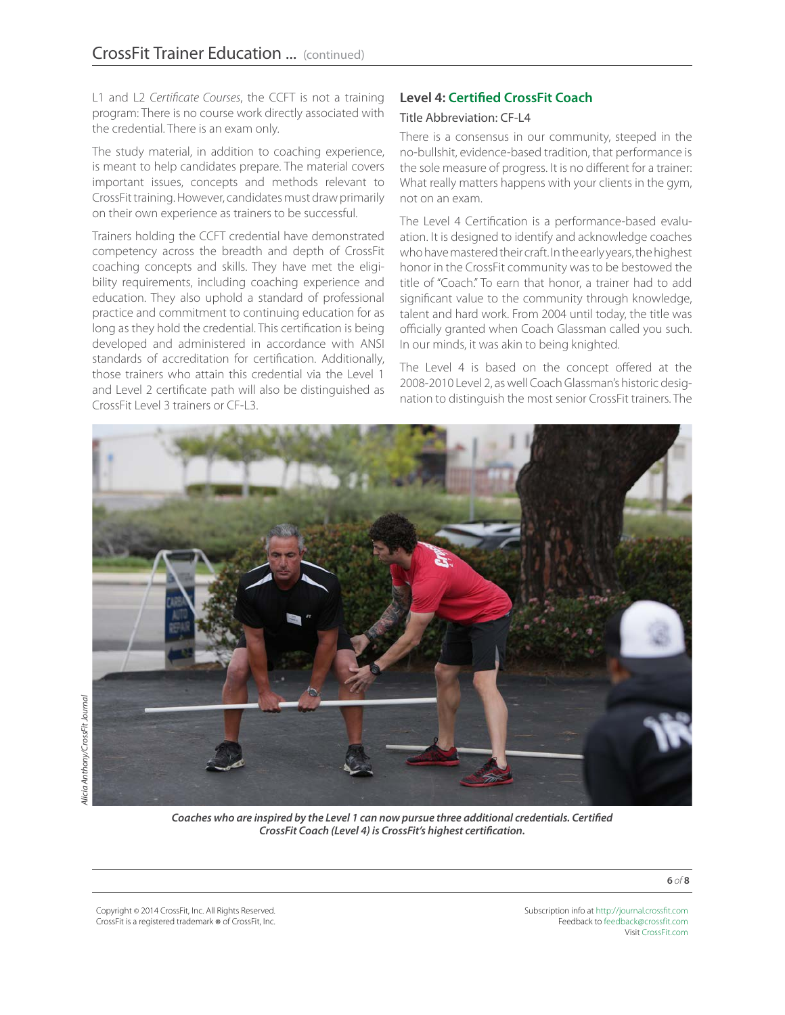L1 and L2 *Certificate Courses*, the CCFT is not a training program: There is no course work directly associated with the credential. There is an exam only.

The study material, in addition to coaching experience, is meant to help candidates prepare. The material covers important issues, concepts and methods relevant to CrossFit training. However, candidates must draw primarily on their own experience as trainers to be successful.

Trainers holding the CCFT credential have demonstrated competency across the breadth and depth of CrossFit coaching concepts and skills. They have met the eligibility requirements, including coaching experience and education. They also uphold a standard of professional practice and commitment to continuing education for as long as they hold the credential. This certification is being developed and administered in accordance with ANSI standards of accreditation for certification. Additionally, those trainers who attain this credential via the Level 1 and Level 2 certificate path will also be distinguished as CrossFit Level 3 trainers or CF-L3.

# **Level 4: [Certified CrossFit Coach](https://certifications.crossfit.com/ccfc/)**

#### Title Abbreviation: CF-L4

There is a consensus in our community, steeped in the no-bullshit, evidence-based tradition, that performance is the sole measure of progress. It is no different for a trainer: What really matters happens with your clients in the gym, not on an exam.

The Level 4 Certification is a performance-based evaluation. It is designed to identify and acknowledge coaches who have mastered their craft. In the early years, the highest honor in the CrossFit community was to be bestowed the title of "Coach." To earn that honor, a trainer had to add significant value to the community through knowledge, talent and hard work. From 2004 until today, the title was officially granted when Coach Glassman called you such. In our minds, it was akin to being knighted.

The Level 4 is based on the concept offered at the 2008-2010 Level 2, as well Coach Glassman's historic designation to distinguish the most senior CrossFit trainers. The



*Coaches who are inspired by the Level 1 can now pursue three additional credentials. Certified CrossFit Coach (Level 4) is CrossFit's highest certification.*

Copyright © 2014 CrossFit, Inc. All Rights Reserved. CrossFit is a registered trademark ® of CrossFit, Inc. Subscription info at <http://journal.crossfit.com> Feedback to [feedback@crossfit.com](mailto:feedback@crossfit.com) Visit [CrossFit.com](http://www.crossfit.com)

**6** *of* **8**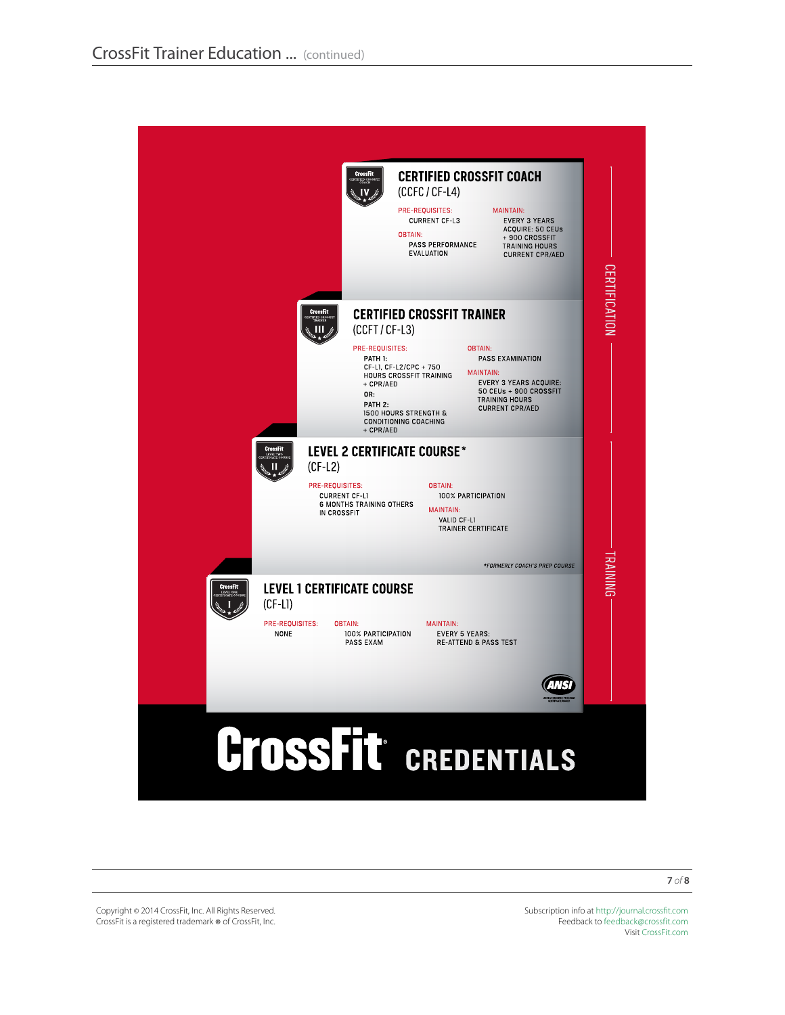

Copyright © 2014 CrossFit, Inc. All Rights Reserved. CrossFit is a registered trademark ® of CrossFit, Inc.